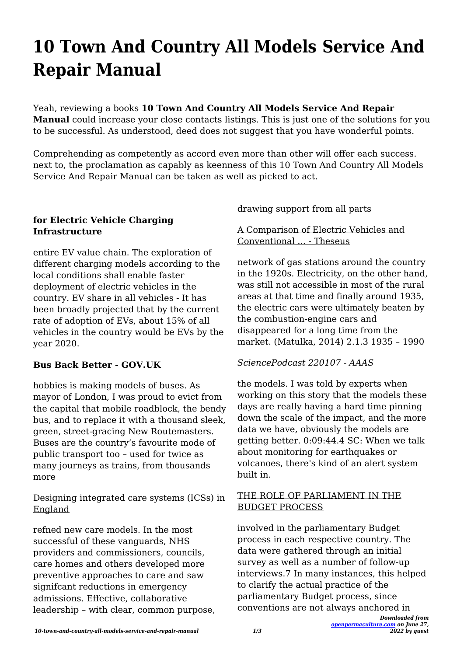# **10 Town And Country All Models Service And Repair Manual**

Yeah, reviewing a books **10 Town And Country All Models Service And Repair Manual** could increase your close contacts listings. This is just one of the solutions for you to be successful. As understood, deed does not suggest that you have wonderful points.

Comprehending as competently as accord even more than other will offer each success. next to, the proclamation as capably as keenness of this 10 Town And Country All Models Service And Repair Manual can be taken as well as picked to act.

### **for Electric Vehicle Charging Infrastructure**

entire EV value chain. The exploration of different charging models according to the local conditions shall enable faster deployment of electric vehicles in the country. EV share in all vehicles - It has been broadly projected that by the current rate of adoption of EVs, about 15% of all vehicles in the country would be EVs by the year 2020.

### **Bus Back Better - GOV.UK**

hobbies is making models of buses. As mayor of London, I was proud to evict from the capital that mobile roadblock, the bendy bus, and to replace it with a thousand sleek, green, street-gracing New Routemasters. Buses are the country's favourite mode of public transport too – used for twice as many journeys as trains, from thousands more

### Designing integrated care systems (ICSs) in England

refned new care models. In the most successful of these vanguards, NHS providers and commissioners, councils, care homes and others developed more preventive approaches to care and saw significant reductions in emergency admissions. Effective, collaborative leadership – with clear, common purpose, drawing support from all parts

#### A Comparison of Electric Vehicles and Conventional ... - Theseus

network of gas stations around the country in the 1920s. Electricity, on the other hand, was still not accessible in most of the rural areas at that time and finally around 1935, the electric cars were ultimately beaten by the combustion-engine cars and disappeared for a long time from the market. (Matulka, 2014) 2.1.3 1935 – 1990

### *SciencePodcast 220107 - AAAS*

the models. I was told by experts when working on this story that the models these days are really having a hard time pinning down the scale of the impact, and the more data we have, obviously the models are getting better. 0:09:44.4 SC: When we talk about monitoring for earthquakes or volcanoes, there's kind of an alert system built in.

#### THE ROLE OF PARLIAMENT IN THE BUDGET PROCESS

involved in the parliamentary Budget process in each respective country. The data were gathered through an initial survey as well as a number of follow-up interviews.7 In many instances, this helped to clarify the actual practice of the parliamentary Budget process, since conventions are not always anchored in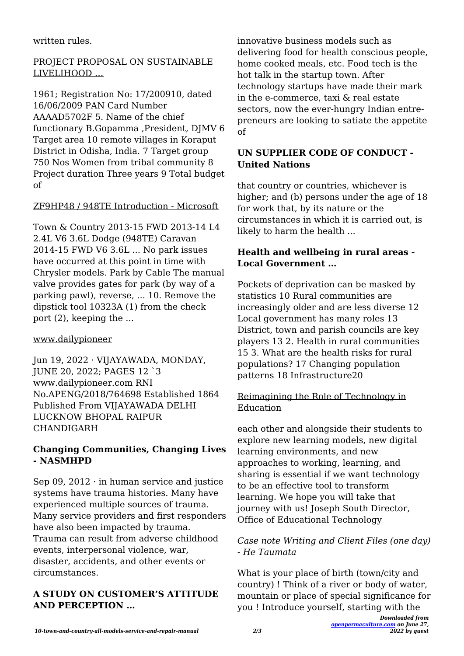written rules.

## PROJECT PROPOSAL ON SUSTAINABLE LIVELIHOOD …

1961; Registration No: 17/200910, dated 16/06/2009 PAN Card Number AAAAD5702F 5. Name of the chief functionary B.Gopamma ,President, DJMV 6 Target area 10 remote villages in Koraput District in Odisha, India. 7 Target group 750 Nos Women from tribal community 8 Project duration Three years 9 Total budget of

# ZF9HP48 / 948TE Introduction - Microsoft

Town & Country 2013-15 FWD 2013-14 L4 2.4L V6 3.6L Dodge (948TE) Caravan 2014-15 FWD V6 3.6L ... No park issues have occurred at this point in time with Chrysler models. Park by Cable The manual valve provides gates for park (by way of a parking pawl), reverse, ... 10. Remove the dipstick tool 10323A (1) from the check port (2), keeping the ...

# www.dailypioneer

Jun 19, 2022 · VIJAYAWADA, MONDAY, JUNE 20, 2022; PAGES 12 `3 www.dailypioneer.com RNI No.APENG/2018/764698 Established 1864 Published From VIJAYAWADA DELHI LUCKNOW BHOPAL RAIPUR CHANDIGARH

# **Changing Communities, Changing Lives - NASMHPD**

Sep 09, 2012 $\cdot$  in human service and justice systems have trauma histories. Many have experienced multiple sources of trauma. Many service providers and first responders have also been impacted by trauma. Trauma can result from adverse childhood events, interpersonal violence, war, disaster, accidents, and other events or circumstances.

# **A STUDY ON CUSTOMER'S ATTITUDE AND PERCEPTION …**

innovative business models such as delivering food for health conscious people, home cooked meals, etc. Food tech is the hot talk in the startup town. After technology startups have made their mark in the e-commerce, taxi & real estate sectors, now the ever-hungry Indian entrepreneurs are looking to satiate the appetite of

# **UN SUPPLIER CODE OF CONDUCT - United Nations**

that country or countries, whichever is higher; and (b) persons under the age of 18 for work that, by its nature or the circumstances in which it is carried out, is likely to harm the health ...

## **Health and wellbeing in rural areas - Local Government …**

Pockets of deprivation can be masked by statistics 10 Rural communities are increasingly older and are less diverse 12 Local government has many roles 13 District, town and parish councils are key players 13 2. Health in rural communities 15 3. What are the health risks for rural populations? 17 Changing population patterns 18 Infrastructure20

# Reimagining the Role of Technology in Education

each other and alongside their students to explore new learning models, new digital learning environments, and new approaches to working, learning, and sharing is essential if we want technology to be an effective tool to transform learning. We hope you will take that journey with us! Joseph South Director, Office of Educational Technology

# *Case note Writing and Client Files (one day) - He Taumata*

What is your place of birth (town/city and country) ! Think of a river or body of water, mountain or place of special significance for you ! Introduce yourself, starting with the